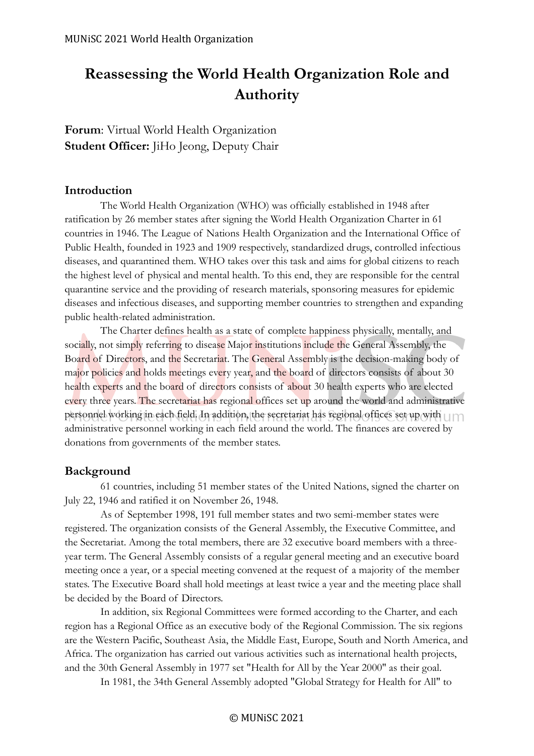# **Reassessing the World Health Organization Role and Authority**

**Forum**: Virtual World Health Organization **Student Officer:** JiHo Jeong, Deputy Chair

#### **Introduction**

The World Health Organization (WHO) was officially established in 1948 after ratification by 26 member states after signing the World Health Organization Charter in 61 countries in 1946. The League of Nations Health Organization and the International Office of Public Health, founded in 1923 and 1909 respectively, standardized drugs, controlled infectious diseases, and quarantined them. WHO takes over this task and aims for global citizens to reach the highest level of physical and mental health. To this end, they are responsible for the central quarantine service and the providing of research materials, sponsoring measures for epidemic diseases and infectious diseases, and supporting member countries to strengthen and expanding public health-related administration.

The Charter defines health as a state of complete happiness physically, mentally, and socially, not simply referring to disease Major institutions include the General Assembly, the Board of Directors, and the Secretariat. The General Assembly is the decision-making body of major policies and holds meetings every year, and the board of directors consists of about 30 health experts and the board of directors consists of about 30 health experts who are elected every three years. The secretariat has regional offices set up around the world and administrative personnel working in each field. In addition, the secretariat has regional offices set up with  $\Box$ administrative personnel working in each field around the world. The finances are covered by donations from governments of the member states.

#### **Background**

61 countries, including 51 member states of the United Nations, signed the charter on July 22, 1946 and ratified it on November 26, 1948.

As of September 1998, 191 full member states and two semi-member states were registered. The organization consists of the General Assembly, the Executive Committee, and the Secretariat. Among the total members, there are 32 executive board members with a threeyear term. The General Assembly consists of a regular general meeting and an executive board meeting once a year, or a special meeting convened at the request of a majority of the member states. The Executive Board shall hold meetings at least twice a year and the meeting place shall be decided by the Board of Directors.

In addition, six Regional Committees were formed according to the Charter, and each region has a Regional Office as an executive body of the Regional Commission. The six regions are the Western Pacific, Southeast Asia, the Middle East, Europe, South and North America, and Africa. The organization has carried out various activities such as international health projects, and the 30th General Assembly in 1977 set "Health for All by the Year 2000" as their goal.

In 1981, the 34th General Assembly adopted "Global Strategy for Health for All" to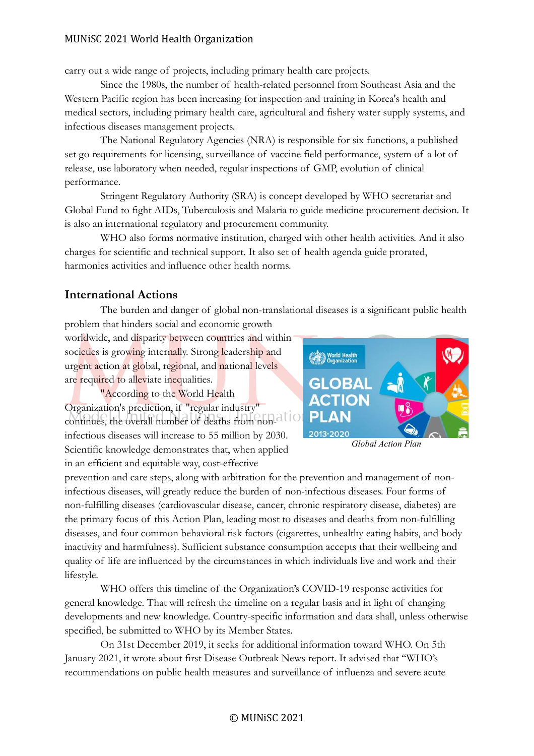#### MUNiSC 2021 World Health Organization

carry out a wide range of projects, including primary health care projects.

Since the 1980s, the number of health-related personnel from Southeast Asia and the Western Pacific region has been increasing for inspection and training in Korea's health and medical sectors, including primary health care, agricultural and fishery water supply systems, and infectious diseases management projects.

The National Regulatory Agencies (NRA) is responsible for six functions, a published set go requirements for licensing, surveillance of vaccine field performance, system of a lot of release, use laboratory when needed, regular inspections of GMP, evolution of clinical performance.

Stringent Regulatory Authority (SRA) is concept developed by WHO secretariat and Global Fund to fight AIDs, Tuberculosis and Malaria to guide medicine procurement decision. It is also an international regulatory and procurement community.

WHO also forms normative institution, charged with other health activities. And it also charges for scientific and technical support. It also set of health agenda guide prorated, harmonies activities and influence other health norms.

# **International Actions**

The burden and danger of global non-translational diseases is a significant public health problem that hinders social and economic growth

worldwide, and disparity between countries and within societies is growing internally. Strong leadership and urgent action at global, regional, and national levels are required to alleviate inequalities.

"According to the World Health Organization's prediction, if "regular industry" continues, the overall number of deaths from noninfectious diseases will increase to 55 million by 2030. Scientific knowledge demonstrates that, when applied in an efficient and equitable way, cost-effective



*Global Action Plan*

prevention and care steps, along with arbitration for the prevention and management of noninfectious diseases, will greatly reduce the burden of non-infectious diseases. Four forms of non-fulfilling diseases (cardiovascular disease, cancer, chronic respiratory disease, diabetes) are the primary focus of this Action Plan, leading most to diseases and deaths from non-fulfilling diseases, and four common behavioral risk factors (cigarettes, unhealthy eating habits, and body inactivity and harmfulness). Sufficient substance consumption accepts that their wellbeing and quality of life are influenced by the circumstances in which individuals live and work and their lifestyle.

WHO offers this timeline of the Organization's COVID-19 response activities for general knowledge. That will refresh the timeline on a regular basis and in light of changing developments and new knowledge. Country-specific information and data shall, unless otherwise specified, be submitted to WHO by its Member States.

On 31st December 2019, it seeks for additional information toward WHO. On 5th January 2021, it wrote about first Disease Outbreak News report. It advised that "WHO's recommendations on public health measures and surveillance of influenza and severe acute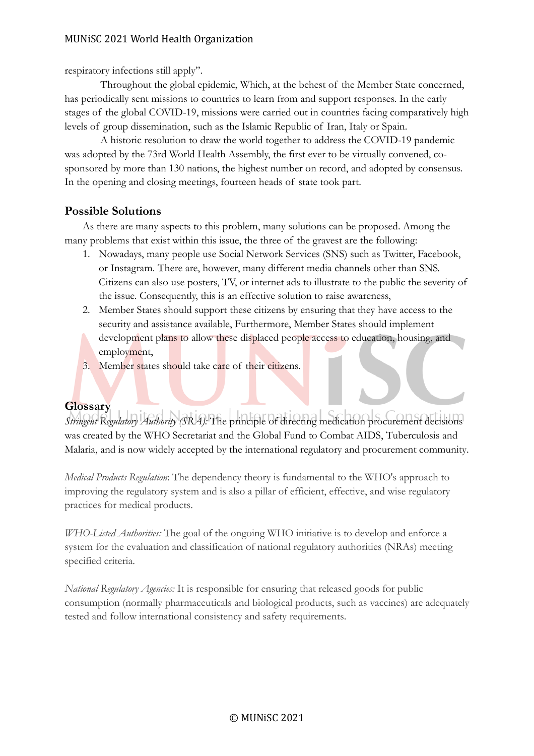#### MUNiSC 2021 World Health Organization

respiratory infections still apply".

Throughout the global epidemic, Which, at the behest of the Member State concerned, has periodically sent missions to countries to learn from and support responses. In the early stages of the global COVID-19, missions were carried out in countries facing comparatively high levels of group dissemination, such as the Islamic Republic of Iran, Italy or Spain.

A historic resolution to draw the world together to address the COVID-19 pandemic was adopted by the 73rd World Health Assembly, the first ever to be virtually convened, cosponsored by more than 130 nations, the highest number on record, and adopted by consensus. In the opening and closing meetings, fourteen heads of state took part.

### **Possible Solutions**

As there are many aspects to this problem, many solutions can be proposed. Among the many problems that exist within this issue, the three of the gravest are the following:

- 1. Nowadays, many people use Social Network Services (SNS) such as Twitter, Facebook, or Instagram. There are, however, many different media channels other than SNS. Citizens can also use posters, TV, or internet ads to illustrate to the public the severity of the issue. Consequently, this is an effective solution to raise awareness,
- 2. Member States should support these citizens by ensuring that they have access to the security and assistance available, Furthermore, Member States should implement development plans to allow these displaced people access to education, housing, and employment,
- 3. Member states should take care of their citizens.

#### **Glossary**

*Stringent Regulatory Authority (SRA):* The principle of directing medication procurement decisions was created by the WHO Secretariat and the Global Fund to Combat AIDS, Tuberculosis and Malaria, and is now widely accepted by the international regulatory and procurement community.

*Medical Products Regulation*: The dependency theory is fundamental to the WHO's approach to improving the regulatory system and is also a pillar of efficient, effective, and wise regulatory practices for medical products.

*WHO-Listed Authorities:* The goal of the ongoing WHO initiative is to develop and enforce a system for the evaluation and classification of national regulatory authorities (NRAs) meeting specified criteria.

*National Regulatory Agencies:* It is responsible for ensuring that released goods for public consumption (normally pharmaceuticals and biological products, such as vaccines) are adequately tested and follow international consistency and safety requirements.